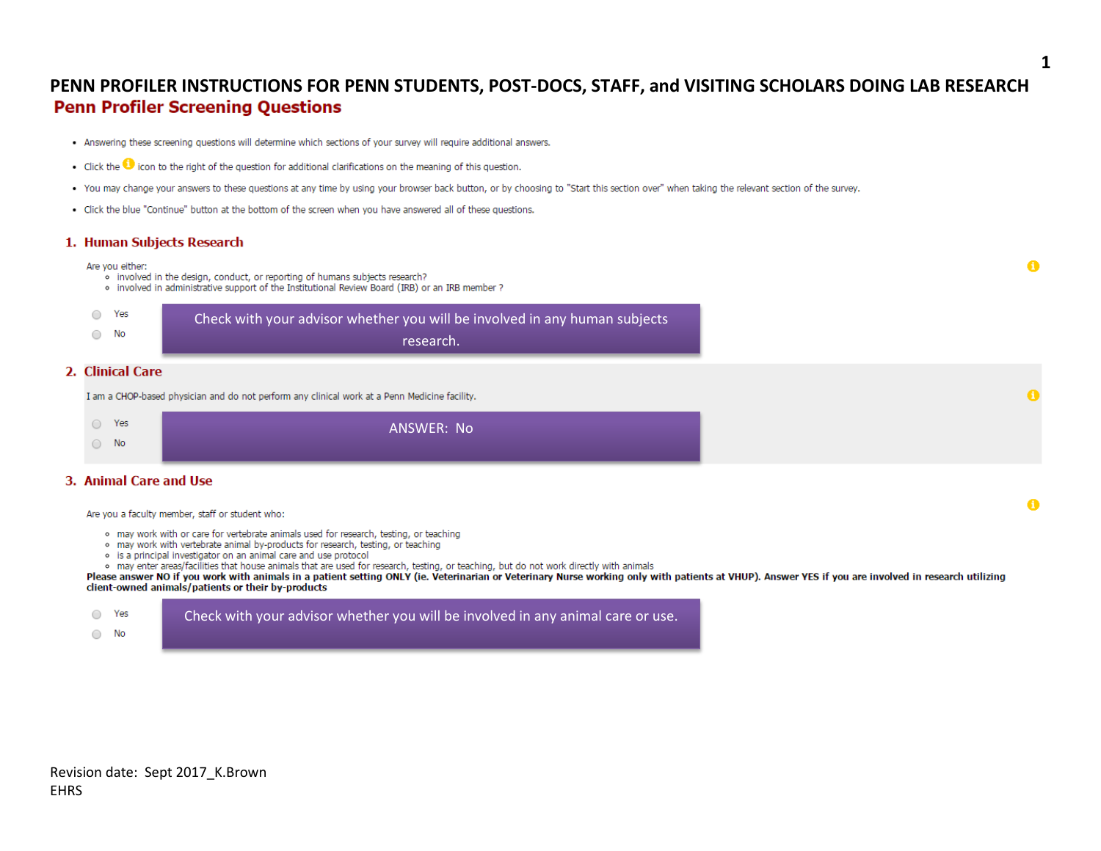## PENN PROFILER INSTRUCTIONS FOR PENN STUDENTS, POST-DOCS, STAFF, and VISITING SCHOLARS DOING LAB RESEARCH **Penn Profiler Screening Questions**

- . Answering these screening questions will determine which sections of your survey will require additional answers.
- Click the  $\bigcirc$  icon to the right of the question for additional clarifications on the meaning of this question.
- . You may change your answers to these questions at any time by using your browser back button, or by choosing to "Start this section over" when taking the relevant section of the survey.
- . Click the blue "Continue" button at the bottom of the screen when you have answered all of these questions.

#### 1. Human Subjects Research

#### Are you either:

- . involved in the design, conduct, or reporting of humans subjects research?
- . involved in administrative support of the Institutional Review Board (IRB) or an IRB member ?

| Yes       | Check with your advisor whether you will be involved in any human subjects |
|-----------|----------------------------------------------------------------------------|
| <b>No</b> | research.                                                                  |

### 2. Clinical Care

I am a CHOP-based physician and do not perform any clinical work at a Penn Medicine facility.

| Yes<br>$\sim$       | ANSWER: No |
|---------------------|------------|
| <b>No</b><br>$\cup$ |            |

#### 3. Animal Care and Use

Are you a faculty member, staff or student who:

- . may work with or care for vertebrate animals used for research, testing, or teaching
- . may work with vertebrate animal by-products for research, testing, or teaching
- . is a principal investigator on an animal care and use protocol
- o may enter areas/facilities that house animals that are used for research, testing, or teaching, but do not work directly with animals

Please answer NO if you work with animals in a patient setting ONLY (ie. Veterinarian or Veterinary Nurse working only with patients at VHUP). Answer YES if you are involved in research utilizing client-owned animals/patients or their by-products

| ◯ Yes         | Check with your advisor whether you will be involved in any animal care or use. |
|---------------|---------------------------------------------------------------------------------|
| $\bigcirc$ No |                                                                                 |

A

Ω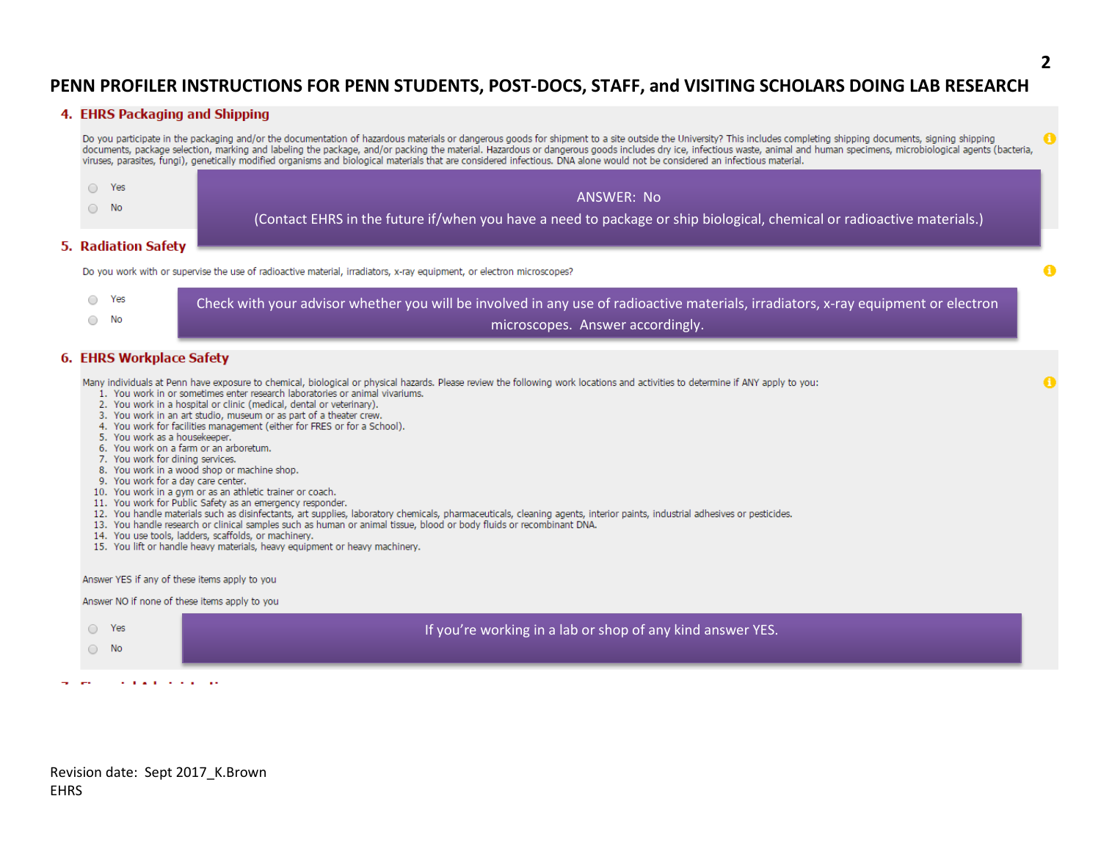#### 4. EHRS Packaging and Shipping

Do you participate in the packaging and/or the documentation of hazardous materials or dangerous goods for shipment to a site outside the University? This includes completing shipping documents, signing shipping documents, package selection, marking and labeling the package, and/or packing the material. Hazardous or dangerous goods includes dry ice, infectious waste, animal and human specimens, microbiological agents (bacteria, viruses, parasites, fungi), genetically modified organisms and biological materials that are considered infectious. DNA alone would not be considered an infectious material.



#### 5. Radiation Safety

Do you work with or supervise the use of radioactive material, irradiators, x-ray equipment, or electron microscopes?

| ○ Yes         | Check with your advisor whether you will be involved in any use of radioactive materials, irradiators, x-ray equipment or electron |
|---------------|------------------------------------------------------------------------------------------------------------------------------------|
| $\bigcirc$ No | microscopes. Answer accordingly.                                                                                                   |

#### 6. EHRS Workplace Safety

Many individuals at Penn have exposure to chemical, biological or physical hazards. Please review the following work locations and activities to determine if ANY apply to you:

- 1. You work in or sometimes enter research laboratories or animal vivariums.
- 2. You work in a hospital or clinic (medical, dental or veterinary).
- 3. You work in an art studio, museum or as part of a theater crew.
- 4. You work for facilities management (either for FRES or for a School).
- 5. You work as a housekeeper.
- 6. You work on a farm or an arboretum.
- 7. You work for dining services.
- 8. You work in a wood shop or machine shop.
- 9. You work for a day care center.
- 10. You work in a gym or as an athletic trainer or coach.
- 11. You work for Public Safety as an emergency responder.
- 12. You handle materials such as disinfectants, art supplies, laboratory chemicals, pharmaceuticals, cleaning agents, interior paints, industrial adhesives or pesticides.
- 13. You handle research or clinical samples such as human or animal tissue, blood or body fluids or recombinant DNA.
- 14. You use tools, ladders, scaffolds, or machinery.
- 15. You lift or handle heavy materials, heavy equipment or heavy machinery.

Answer YES if any of these items apply to you

Answer NO if none of these items apply to you



ومستوار والمستور والمراوي والمناور

Revision date: Sept 2017 K.Brown **FHRS**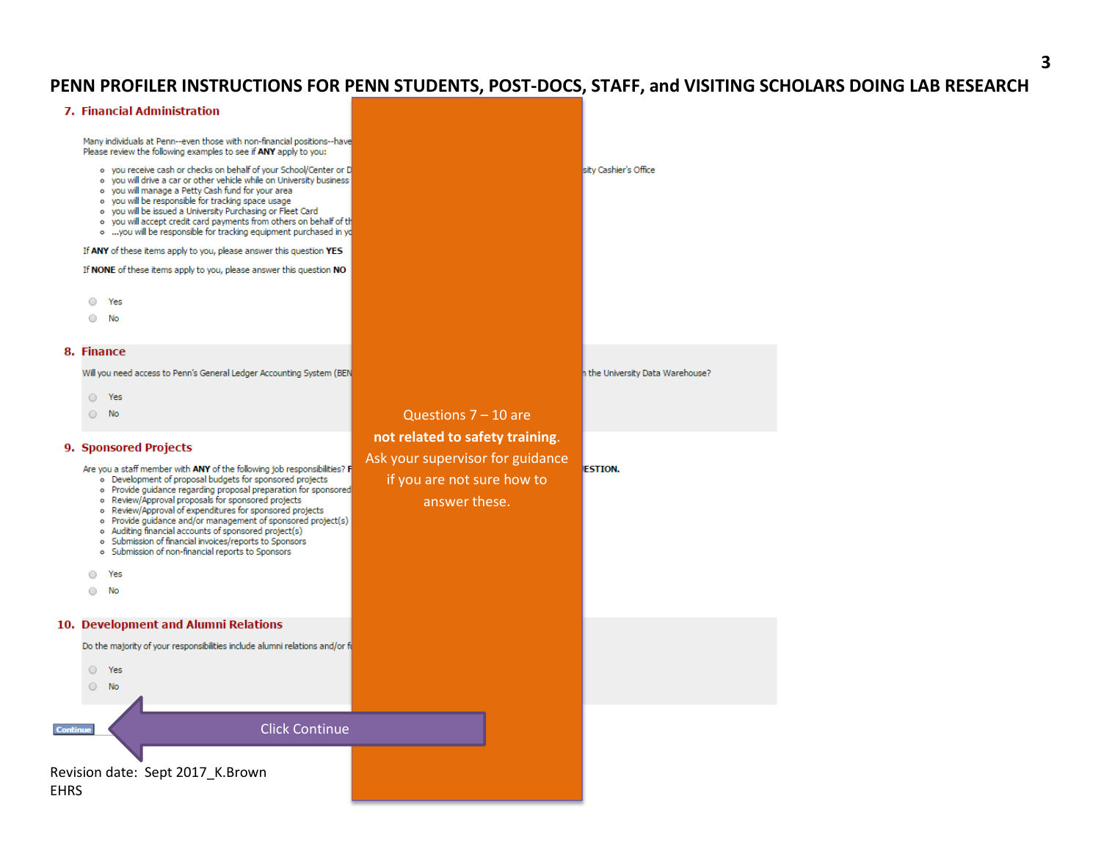### **3**

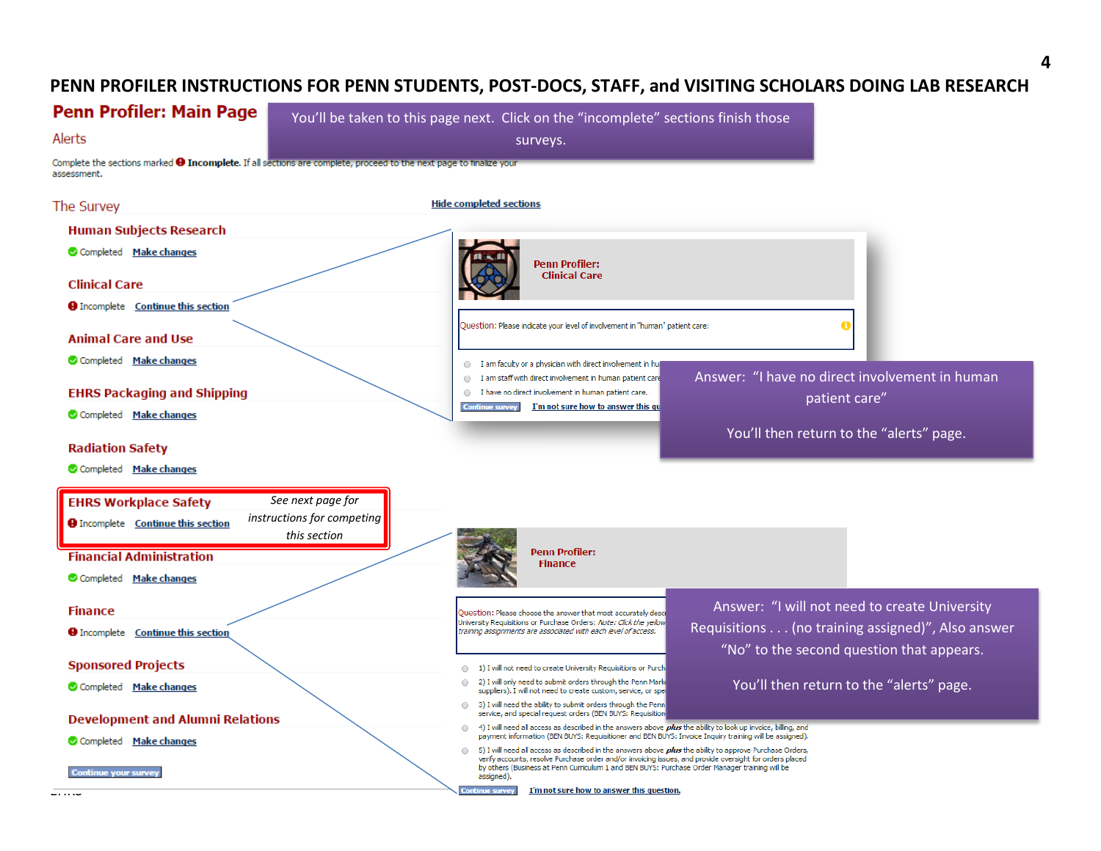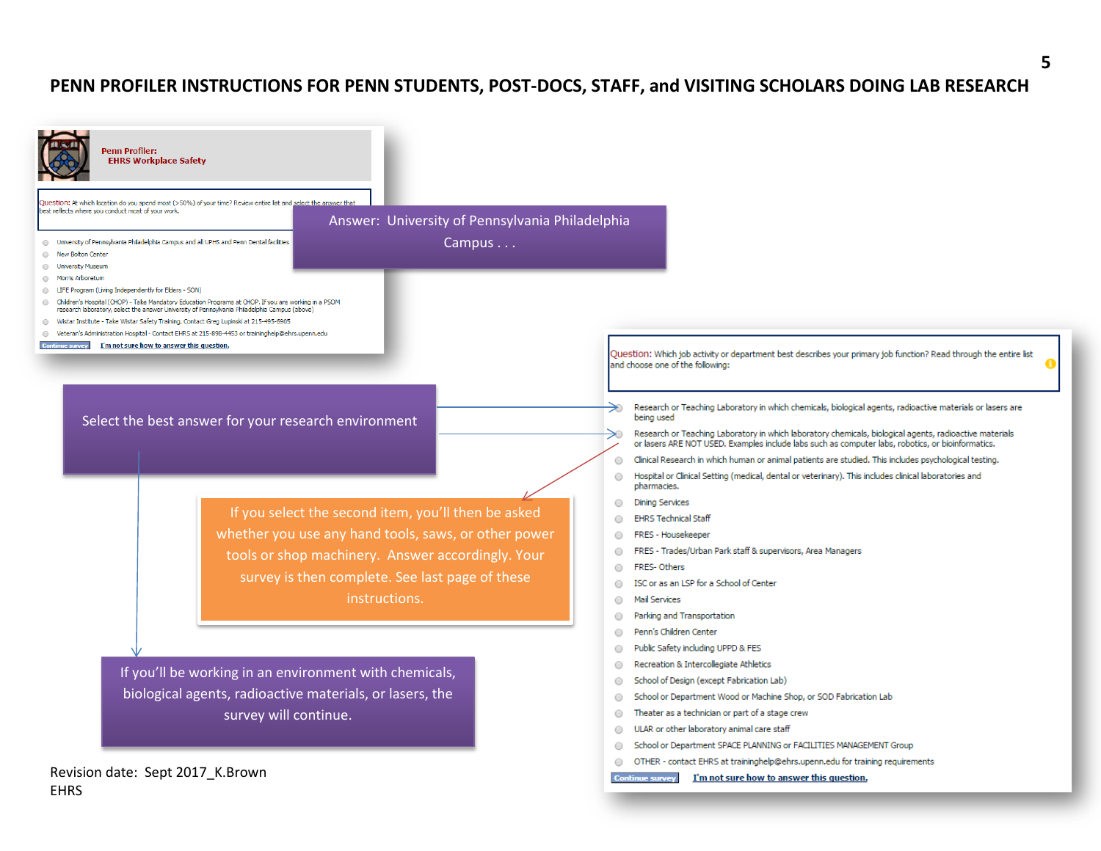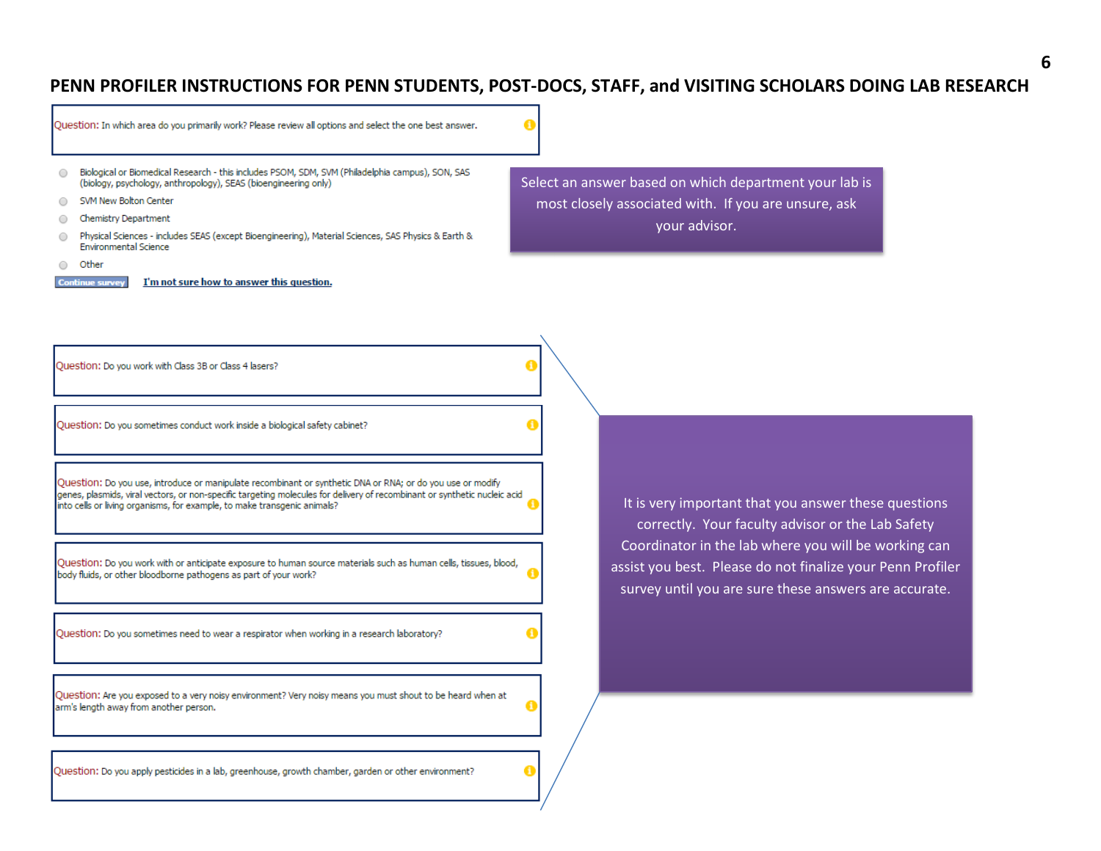| Question: In which area do you primarily work? Please review all options and select the one best answer.                                                                                                                                                                                                                                                                                                                                                                |                                                                                                                                                                             |
|-------------------------------------------------------------------------------------------------------------------------------------------------------------------------------------------------------------------------------------------------------------------------------------------------------------------------------------------------------------------------------------------------------------------------------------------------------------------------|-----------------------------------------------------------------------------------------------------------------------------------------------------------------------------|
| Biological or Biomedical Research - this includes PSOM, SDM, SVM (Philadelphia campus), SON, SAS<br>$\bigcirc$<br>(biology, psychology, anthropology), SEAS (bioengineering only)<br>SVM New Bolton Center<br>Chemistry Department<br>Physical Sciences - includes SEAS (except Bioengineering), Material Sciences, SAS Physics & Earth &<br>$\bigcirc$<br><b>Environmental Science</b><br>Other<br>I'm not sure how to answer this question.<br><b>Continue survey</b> | Select an answer based on which department your lab is<br>most closely associated with. If you are unsure, ask<br>your advisor.                                             |
| Question: Do you work with Class 3B or Class 4 lasers?                                                                                                                                                                                                                                                                                                                                                                                                                  |                                                                                                                                                                             |
| Question: Do you sometimes conduct work inside a biological safety cabinet?                                                                                                                                                                                                                                                                                                                                                                                             |                                                                                                                                                                             |
| Question: Do you use, introduce or manipulate recombinant or synthetic DNA or RNA; or do you use or modify<br>genes, plasmids, viral vectors, or non-specific targeting molecules for delivery of recombinant or synthetic nucleic acid<br>into cells or living organisms, for example, to make transgenic animals?                                                                                                                                                     | It is very important that you answer these questions<br>correctly. Your faculty advisor or the Lab Safety                                                                   |
| Question: Do you work with or anticipate exposure to human source materials such as human cells, tissues, blood,<br>body fluids, or other bloodborne pathogens as part of your work?                                                                                                                                                                                                                                                                                    | Coordinator in the lab where you will be working can<br>assist you best. Please do not finalize your Penn Profiler<br>survey until you are sure these answers are accurate. |
| Question: Do you sometimes need to wear a respirator when working in a research laboratory?                                                                                                                                                                                                                                                                                                                                                                             |                                                                                                                                                                             |
| Question: Are you exposed to a very noisy environment? Very noisy means you must shout to be heard when at<br>arm's length away from another person.                                                                                                                                                                                                                                                                                                                    |                                                                                                                                                                             |
| Question: Do you apply pesticides in a lab, greenhouse, growth chamber, garden or other environment?                                                                                                                                                                                                                                                                                                                                                                    | A                                                                                                                                                                           |